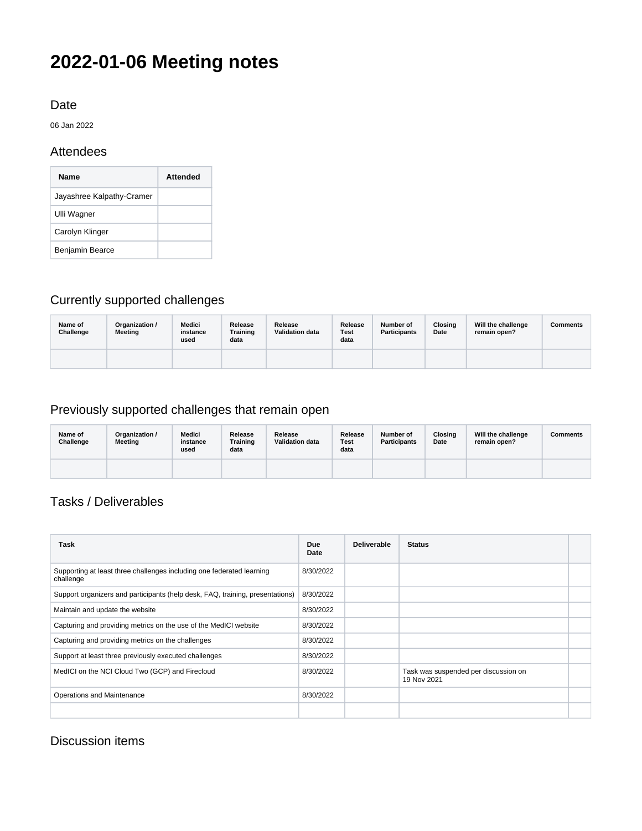# **2022-01-06 Meeting notes**

### Date

06 Jan 2022

### **Attendees**

| <b>Name</b>               | Attended |
|---------------------------|----------|
| Jayashree Kalpathy-Cramer |          |
| Ulli Wagner               |          |
| Carolyn Klinger           |          |
| Benjamin Bearce           |          |

# Currently supported challenges

| Name of<br>Challenge | Organization /<br>Meeting | <b>Medici</b><br>instance<br>used | Release<br><b>Training</b><br>data | Release<br><b>Validation data</b> | Release<br>Test<br>data | Number of<br><b>Participants</b> | Closing<br>Date | Will the challenge<br>remain open? | Comments |
|----------------------|---------------------------|-----------------------------------|------------------------------------|-----------------------------------|-------------------------|----------------------------------|-----------------|------------------------------------|----------|
|                      |                           |                                   |                                    |                                   |                         |                                  |                 |                                    |          |

## Previously supported challenges that remain open

| Name of<br>Challenge | Organization /<br>Meeting | Medici<br>instance<br>used | Release<br><b>Training</b><br>data | Release<br><b>Validation data</b> | Release<br>Test<br>data | Number of<br><b>Participants</b> | Closing<br>Date | Will the challenge<br>remain open? | Comments |
|----------------------|---------------------------|----------------------------|------------------------------------|-----------------------------------|-------------------------|----------------------------------|-----------------|------------------------------------|----------|
|                      |                           |                            |                                    |                                   |                         |                                  |                 |                                    |          |

## Tasks / Deliverables

| Task                                                                               | <b>Due</b><br>Date | <b>Deliverable</b> | <b>Status</b>                                       |  |
|------------------------------------------------------------------------------------|--------------------|--------------------|-----------------------------------------------------|--|
| Supporting at least three challenges including one federated learning<br>challenge | 8/30/2022          |                    |                                                     |  |
| Support organizers and participants (help desk, FAQ, training, presentations)      | 8/30/2022          |                    |                                                     |  |
| Maintain and update the website                                                    | 8/30/2022          |                    |                                                     |  |
| Capturing and providing metrics on the use of the MedICI website                   | 8/30/2022          |                    |                                                     |  |
| Capturing and providing metrics on the challenges                                  | 8/30/2022          |                    |                                                     |  |
| Support at least three previously executed challenges                              | 8/30/2022          |                    |                                                     |  |
| MedICI on the NCI Cloud Two (GCP) and Firecloud                                    | 8/30/2022          |                    | Task was suspended per discussion on<br>19 Nov 2021 |  |
| Operations and Maintenance                                                         | 8/30/2022          |                    |                                                     |  |
|                                                                                    |                    |                    |                                                     |  |

## Discussion items